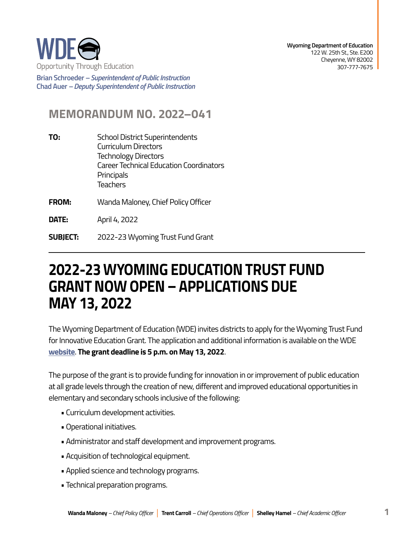

**Brian Schroeder –***Superintendent of Public Instruction*  **Chad Auer** *– Deputy Superintendent of Public Instruction* 

## **MEMORANDUM NO. 2022–041**

- **TO:** School District Superintendents Curriculum Directors Technology Directors Career Technical Education Coordinators **Principals Teachers**
- **FROM:** Wanda Maloney, Chief Policy Officer

**DATE:** April 4, 2022

**SUBJECT:** 2022-23 Wyoming Trust Fund Grant

## **GRANTNOW OPEN– APPLICATIONS DUE 2022-23 WYOMING EDUCATION TRUST FUND MAY 13, 2022**

The Wyoming Department of Education (WDE) invites districts to apply for the Wyoming Trust Fund for Innovative Education Grant. The application and additional information is available on the WDE **[website](https://edu.wyoming.gov/beyond-the-classroom/grants/innovative-education/)**. **The grant deadline is 5 p.m. on May 13, 2022**.

The purpose of the grant is to provide funding for innovation in or improvement of public education at all grade levels through the creation of new, different and improved educational opportunities in elementary and secondary schools inclusive of the following:

- Curriculum development activities.
- Operational initiatives.
- Administrator and staff development and improvement programs.
- Acquisition of technological equipment.
- Applied science and technology programs.
- Technical preparation programs.